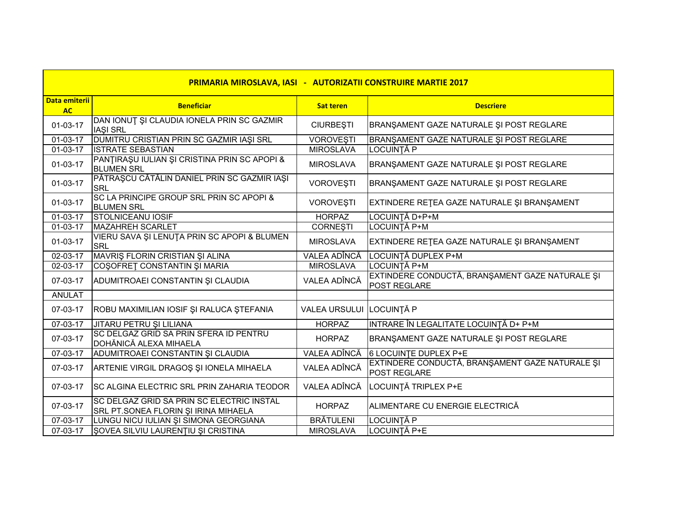| PRIMARIA MIROSLAVA, IASI - AUTORIZATII CONSTRUIRE MARTIE 2017 |                                                                                   |                          |                                                                        |  |
|---------------------------------------------------------------|-----------------------------------------------------------------------------------|--------------------------|------------------------------------------------------------------------|--|
| <b>Data emiterii</b><br><b>AC</b>                             | <b>Beneficiar</b>                                                                 | <b>Sat teren</b>         | <b>Descriere</b>                                                       |  |
| 01-03-17                                                      | DAN IONUT ȘI CLAUDIA IONELA PRIN SC GAZMIR<br><b>IASI SRL</b>                     | <b>CIURBEȘTI</b>         | BRANŞAMENT GAZE NATURALE ŞI POST REGLARE                               |  |
| 01-03-17                                                      | DUMITRU CRISTIAN PRIN SC GAZMIR IAȘI SRL                                          | <b>VOROVEŞTI</b>         | BRANŞAMENT GAZE NATURALE ŞI POST REGLARE                               |  |
| $01-03-17$                                                    | <b>ISTRATE SEBASTIAN</b>                                                          | <b>MIROSLAVA</b>         | <b>LOCUINȚĂ P</b>                                                      |  |
| $01-03-17$                                                    | PANTIRAȘU IULIAN ȘI CRISTINA PRIN SC APOPI &<br><b>BLUMEN SRL</b>                 | <b>MIROSLAVA</b>         | BRANŞAMENT GAZE NATURALE ŞI POST REGLARE                               |  |
| $01-03-17$                                                    | PĂTRAȘCU CĂTĂLIN DANIEL PRIN SC GAZMIR IAȘI<br><b>SRL</b>                         | <b>VOROVEȘTI</b>         | BRANŞAMENT GAZE NATURALE ŞI POST REGLARE                               |  |
| 01-03-17                                                      | SC LA PRINCIPE GROUP SRL PRIN SC APOPI &<br><b>BLUMEN SRL</b>                     | <b>VOROVEŞTI</b>         | EXTINDERE RETEA GAZE NATURALE ȘI BRANȘAMENT                            |  |
| $01 - 03 - 17$                                                | <b>STOLNICEANU IOSIF</b>                                                          | <b>HORPAZ</b>            | LOCUINTĂ D+P+M                                                         |  |
| 01-03-17                                                      | <b>MAZAHREH SCARLET</b>                                                           | <b>CORNEȘTI</b>          | LOCUINȚĂ P+M                                                           |  |
| $01-03-17$                                                    | VIERU SAVA ȘI LENUȚA PRIN SC APOPI & BLUMEN<br><b>SRL</b>                         | <b>MIROSLAVA</b>         | EXTINDERE RETEA GAZE NATURALE ȘI BRANȘAMENT                            |  |
| $02 - 03 - 17$                                                | MAVRIS FLORIN CRISTIAN ȘI ALINA                                                   | VALEA ADÎNCĂ             | LOCUINȚĂ DUPLEX P+M                                                    |  |
| 02-03-17                                                      | COŞOFRET CONSTANTIN ŞI MARIA                                                      | <b>MIROSLAVA</b>         | LOCUINȚĂ P+M                                                           |  |
| 07-03-17                                                      | ADUMITROAEI CONSTANTIN ȘI CLAUDIA                                                 | VALEA ADÎNCĂ             | EXTINDERE CONDUCTĂ, BRANȘAMENT GAZE NATURALE ȘI<br>POST REGLARE        |  |
| <b>ANULAT</b>                                                 |                                                                                   |                          |                                                                        |  |
| 07-03-17                                                      | ROBU MAXIMILIAN IOSIF ŞI RALUCA ŞTEFANIA                                          | VALEA URSULUI LOCUINȚĂ P |                                                                        |  |
| $07 - 03 - 17$                                                | JITARU PETRU ȘI LILIANA                                                           | <b>HORPAZ</b>            | INTRARE ÎN LEGALITATE LOCUINȚĂ D+ P+M                                  |  |
| 07-03-17                                                      | SC DELGAZ GRID SA PRIN SFERA ID PENTRU<br>DOHĂNICĂ ALEXA MIHAELA                  | <b>HORPAZ</b>            | BRANŞAMENT GAZE NATURALE ŞI POST REGLARE                               |  |
| 07-03-17                                                      | ADUMITROAEI CONSTANTIN ȘI CLAUDIA                                                 | VALEA ADÎNCĂ             | 6 LOCUINTE DUPLEX P+E                                                  |  |
| 07-03-17                                                      | ARTENIE VIRGIL DRAGOȘ ȘI IONELA MIHAELA                                           | VALEA ADÎNCĂ             | EXTINDERE CONDUCTĂ, BRANȘAMENT GAZE NATURALE ȘI<br><b>POST REGLARE</b> |  |
| 07-03-17                                                      | SC ALGINA ELECTRIC SRL PRIN ZAHARIA TEODOR                                        | VALEA ADÎNCĂ             | LOCUINȚĂ TRIPLEX P+E                                                   |  |
| 07-03-17                                                      | SC DELGAZ GRID SA PRIN SC ELECTRIC INSTAL<br>SRL PT.SONEA FLORIN ȘI IRINA MIHAELA | <b>HORPAZ</b>            | ALIMENTARE CU ENERGIE ELECTRICĂ                                        |  |
| 07-03-17                                                      | LUNGU NICU IULIAN ȘI SIMONA GEORGIANA                                             | <b>BRÄTULENI</b>         | LOCUINȚĂ P                                                             |  |
| 07-03-17                                                      | ŞOVEA SILVIU LAURENȚIU ȘI CRISTINA                                                | <b>MIROSLAVA</b>         | LOCUINȚĂ P+E                                                           |  |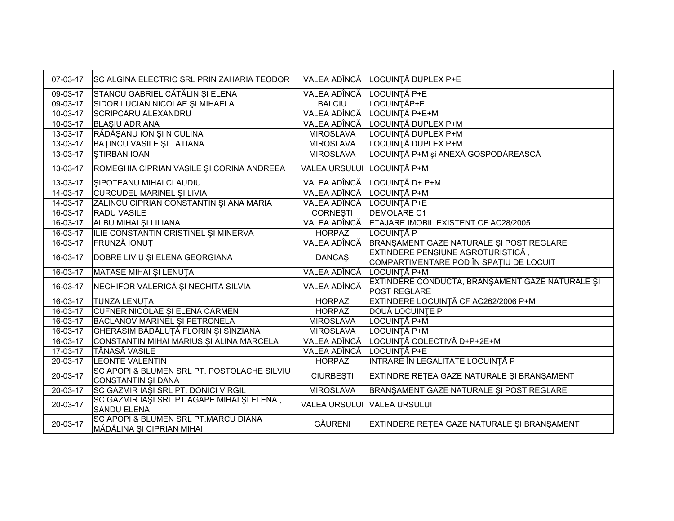| 07-03-17       | SC ALGINA ELECTRIC SRL PRIN ZAHARIA TEODOR                        | VALEA ADÎNCĂ                | LOCUINȚĂ DUPLEX P+E                                                                 |
|----------------|-------------------------------------------------------------------|-----------------------------|-------------------------------------------------------------------------------------|
| 09-03-17       | STANCU GABRIEL CĂTĂLIN ȘI ELENA                                   | VALEA ADÎNCĂ                | LOCUINȚĂ P+E                                                                        |
| 09-03-17       | SIDOR LUCIAN NICOLAE ȘI MIHAELA                                   | <b>BALCIU</b>               | LOCUINȚĂP+E                                                                         |
| $10-03-17$     | <b>SCRIPCARU ALEXANDRU</b>                                        | VALEA ADÎNCĂ                | LOCUINȚĂ P+E+M                                                                      |
| 10-03-17       | <b>BLASIU ADRIANA</b>                                             | VALEA ADÎNCĂ                | LOCUINȚĂ DUPLEX P+M                                                                 |
| $13 - 03 - 17$ | RĂDĂȘANU ION ȘI NICULINA                                          | <b>MIROSLAVA</b>            | LOCUINȚĂ DUPLEX P+M                                                                 |
| 13-03-17       | BAȚINCU VASILE ȘI TATIANA                                         | <b>MIROSLAVA</b>            | LOCUINȚĂ DUPLEX P+M                                                                 |
| 13-03-17       | <b>STIRBAN IOAN</b>                                               | <b>MIROSLAVA</b>            | LOCUINȚĂ P+M și ANEXĂ GOSPODĂREASCĂ                                                 |
| 13-03-17       | ROMEGHIA CIPRIAN VASILE ȘI CORINA ANDREEA                         | <b>VALEA URSULUI</b>        | LOCUINȚĂ P+M                                                                        |
| $13 - 03 - 17$ | SIPOTEANU MIHAI CLAUDIU                                           | VALEA ADÎNCĂ                | LOCUINȚĂ D+ P+M                                                                     |
| 14-03-17       | <b>CURCUDEL MARINEL ȘI LIVIA</b>                                  | VALEA ADÎNCĂ LOCUINȚĂ P+M   |                                                                                     |
| 14-03-17       | ZALINCU CIPRIAN CONSTANTIN ȘI ANA MARIA                           | VALEA ADÎNCĂ LOCUINȚĂ P+E   |                                                                                     |
| 16-03-17       | <b>RADU VASILE</b>                                                | <b>CORNEȘTI</b>             | <b>DEMOLARE C1</b>                                                                  |
| 16-03-17       | ALBU MIHAI ȘI LILIANA                                             | VALEA ADÎNCĂ                | ETAJARE IMOBIL EXISTENT CF.AC28/2005                                                |
| 16-03-17       | ILIE CONSTANTIN CRISTINEL ȘI MINERVA                              | <b>HORPAZ</b>               | LOCUINȚĂ P                                                                          |
| 16-03-17       | <b>FRUNZĂ IONUT</b>                                               | VALEA ADÎNCĂ                | BRANŞAMENT GAZE NATURALE ŞI POST REGLARE                                            |
| 16-03-17       | DOBRE LIVIU ȘI ELENA GEORGIANA                                    | <b>DANCAŞ</b>               | <b>EXTINDERE PENSIUNE AGROTURISTICĂ,</b><br>COMPARTIMENTARE POD ÎN SPAȚIU DE LOCUIT |
| 16-03-17       | MATASE MIHAI ȘI LENUȚA                                            | VALEA ADÎNCĂ                | LOCUINȚĂ P+M                                                                        |
| 16-03-17       | NECHIFOR VALERICĂ ȘI NECHITA SILVIA                               | VALEA ADÎNCĂ                | EXTINDERE CONDUCTĂ, BRANȘAMENT GAZE NATURALE ȘI<br>POST REGLARE                     |
| 16-03-17       | <b>TUNZA LENUTA</b>                                               | <b>HORPAZ</b>               | EXTINDERE LOCUINȚĂ CF AC262/2006 P+M                                                |
| 16-03-17       | CUFNER NICOLAE ȘI ELENA CARMEN                                    | <b>HORPAZ</b>               | DOUĂ LOCUINȚE P                                                                     |
| $16-03-17$     | <b>BACLANOV MARINEL ȘI PETRONELA</b>                              | <b>MIROSLAVA</b>            | LOCUINȚĂ P+M                                                                        |
| 16-03-17       | GHERASIM BĂDĂLUȚĂ FLORIN ȘI SÎNZIANA                              | <b>MIROSLAVA</b>            | LOCUINȚĂ P+M                                                                        |
| $16 - 03 - 17$ | CONSTANTIN MIHAI MARIUS ȘI ALINA MARCELA                          | VALEA ADÎNCĂ                | LOCUINȚĂ COLECTIVĂ D+P+2E+M                                                         |
| $17-03-17$     | <b>TĂNASĂ VASILE</b>                                              | VALEA ADÎNCĂ                | LOCUINȚĂ P+E                                                                        |
| 20-03-17       | <b>LEONTE VALENTIN</b>                                            | <b>HORPAZ</b>               | INTRARE ÎN LEGALITATE LOCUINȚĂ P                                                    |
| 20-03-17       | SC APOPI & BLUMEN SRL PT. POSTOLACHE SILVIU<br>CONSTANTIN ȘI DANA | <b>CIURBEȘTI</b>            | EXTINDRE RETEA GAZE NATURALE ȘI BRANȘAMENT                                          |
| 20-03-17       | SC GAZMIR IAȘI SRL PT. DONICI VIRGIL                              | <b>MIROSLAVA</b>            | BRANŞAMENT GAZE NATURALE ŞI POST REGLARE                                            |
| 20-03-17       | SC GAZMIR IAȘI SRL PT.AGAPE MIHAI ȘI ELENA,<br><b>SANDU ELENA</b> | VALEA URSULUI VALEA URSULUI |                                                                                     |
| 20-03-17       | SC APOPI & BLUMEN SRL PT.MARCU DIANA<br>MĂDĂLINA ȘI CIPRIAN MIHAI | <b>GĂURENI</b>              | EXTINDERE RETEA GAZE NATURALE ȘI BRANȘAMENT                                         |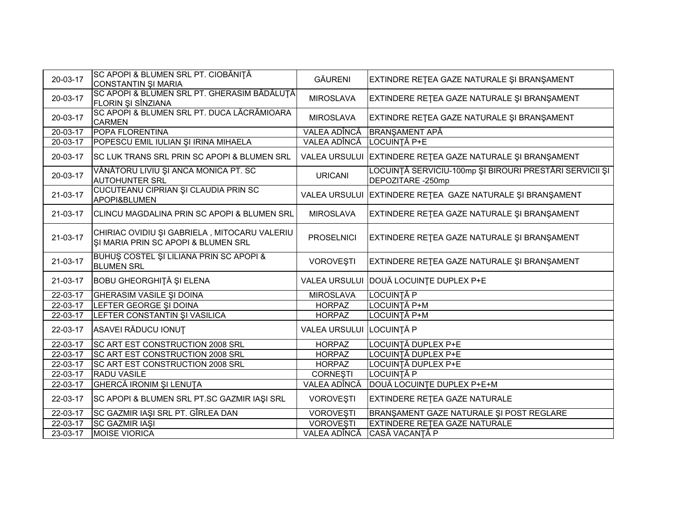| 20-03-17       | SC APOPI & BLUMEN SRL PT. CIOBĂNIȚĂ<br>CONSTANTIN ȘI MARIA                          | <b>GĂURENI</b>           | EXTINDRE RETEA GAZE NATURALE ȘI BRANȘAMENT                                   |
|----------------|-------------------------------------------------------------------------------------|--------------------------|------------------------------------------------------------------------------|
| 20-03-17       | SC APOPI & BLUMEN SRL PT. GHERASIM BĂDĂLUȚĂ<br><b>FLORIN ȘI SÎNZIANA</b>            | <b>MIROSLAVA</b>         | EXTINDERE RETEA GAZE NATURALE ȘI BRANȘAMENT                                  |
| 20-03-17       | SC APOPI & BLUMEN SRL PT. DUCA LĂCRĂMIOARA<br><b>CARMEN</b>                         | <b>MIROSLAVA</b>         | EXTINDRE RETEA GAZE NATURALE ȘI BRANȘAMENT                                   |
| $20 - 03 - 17$ | <b>POPA FLORENTINA</b>                                                              | VALEA ADÎNCĂ             | <b>BRANŞAMENT APĂ</b>                                                        |
| 20-03-17       | POPESCU EMIL IULIAN ȘI IRINA MIHAELA                                                | VALEA ADÎNCĂ             | LOCUINȚĂ P+E                                                                 |
| 20-03-17       | SC LUK TRANS SRL PRIN SC APOPI & BLUMEN SRL                                         |                          | VALEA URSULUI EXTINDERE REȚEA GAZE NATURALE ȘI BRANȘAMENT                    |
| 20-03-17       | VÂNĂTORU LIVIU ȘI ANCA MONICA PT. SC<br><b>AUTOHUNTER SRL</b>                       | <b>URICANI</b>           | LOCUINȚĂ SERVICIU-100mp ȘI BIROURI PRESTĂRI SERVICII ȘI<br>DEPOZITARE -250mp |
| 21-03-17       | CUCUTEANU CIPRIAN ȘI CLAUDIA PRIN SC<br>APOPI&BLUMEN                                |                          | VALEA URSULUI EXTINDERE REȚEA GAZE NATURALE ȘI BRANȘAMENT                    |
| 21-03-17       | CLINCU MAGDALINA PRIN SC APOPI & BLUMEN SRL                                         | <b>MIROSLAVA</b>         | EXTINDERE REȚEA GAZE NATURALE ȘI BRANȘAMENT                                  |
| 21-03-17       | CHIRIAC OVIDIU ȘI GABRIELA, MITOCARU VALERIU<br>SI MARIA PRIN SC APOPI & BLUMEN SRL | <b>PROSELNICI</b>        | EXTINDERE REȚEA GAZE NATURALE ȘI BRANȘAMENT                                  |
| 21-03-17       | BUHUS COSTEL ȘI LILIANA PRIN SC APOPI &<br><b>BLUMEN SRL</b>                        | <b>VOROVEŞTI</b>         | EXTINDERE RETEA GAZE NATURALE ȘI BRANȘAMENT                                  |
| 21-03-17       | <b>BOBU GHEORGHITĂ ȘI ELENA</b>                                                     |                          | VALEA URSULUI DOUĂ LOCUINȚE DUPLEX P+E                                       |
| 22-03-17       | <b>GHERASIM VASILE SI DOINA</b>                                                     | <b>MIROSLAVA</b>         | <b>LOCUINȚĂ P</b>                                                            |
| $22 - 03 - 17$ | LEFTER GEORGE ȘI DOINA                                                              | <b>HORPAZ</b>            | LOCUINȚĂ P+M                                                                 |
| 22-03-17       | LEFTER CONSTANTIN ȘI VASILICA                                                       | <b>HORPAZ</b>            | LOCUINȚĂ P+M                                                                 |
| 22-03-17       | ASAVEI RĂDUCU IONUT                                                                 | VALEA URSULUI LOCUINȚĂ P |                                                                              |
| $22 - 03 - 17$ | <b>SC ART EST CONSTRUCTION 2008 SRL</b>                                             | <b>HORPAZ</b>            | LOCUINȚĂ DUPLEX P+E                                                          |
| 22-03-17       | <b>SC ART EST CONSTRUCTION 2008 SRL</b>                                             | <b>HORPAZ</b>            | LOCUINȚĂ DUPLEX P+E                                                          |
| $22 - 03 - 17$ | <b>SC ART EST CONSTRUCTION 2008 SRL</b>                                             | <b>HORPAZ</b>            | <b>LOCUINȚĂ DUPLEX P+E</b>                                                   |
| 22-03-17       | <b>RADU VASILE</b>                                                                  | <b>CORNESTI</b>          | LOCUINTĂ P                                                                   |
| 22-03-17       | <b>GHERCĂ IRONIM ȘI LENUȚA</b>                                                      | VALEA ADÎNCĂ             | DOUĂ LOCUINȚE DUPLEX P+E+M                                                   |
| 22-03-17       | SC APOPI & BLUMEN SRL PT.SC GAZMIR IAŞI SRL                                         | <b>VOROVEȘTI</b>         | EXTINDERE RETEA GAZE NATURALE                                                |
| 22-03-17       | <b>SC GAZMIR IAŞI SRL PT. GÎRLEA DAN</b>                                            | <b>VOROVEŞTI</b>         | BRANŞAMENT GAZE NATURALE ŞI POST REGLARE                                     |
| 22-03-17       | <b>SC GAZMIR IAŞI</b>                                                               | <b>VOROVEȘTI</b>         | EXTINDERE RETEA GAZE NATURALE                                                |
| 23-03-17       | <b>MOISE VIORICA</b>                                                                | VALEA ADÎNCĂ             | CASĂ VACANȚĂ P                                                               |